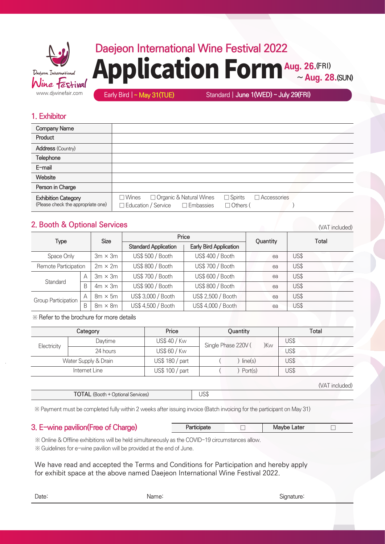

## **Daejeon International Wine Festival 2022** Application Form Aug. 26.(FRI)  $\sim$  **Aug. 28. (SUN)**

Early Bird | **~ May 31(TUE)** Standard | **June 1(WED) ~ July 29(FRI)**

### **1. Exhibitor**

| <b>Company Name</b>                                              |                                                                                                                                                       |
|------------------------------------------------------------------|-------------------------------------------------------------------------------------------------------------------------------------------------------|
| Product                                                          |                                                                                                                                                       |
| <b>Address (Country)</b>                                         |                                                                                                                                                       |
| Telephone                                                        |                                                                                                                                                       |
| E-mail                                                           |                                                                                                                                                       |
| Website                                                          |                                                                                                                                                       |
| Person in Charge                                                 |                                                                                                                                                       |
| <b>Exhibition Category</b><br>(Please check the appropriate one) | □ Organic & Natural Wines<br>$\Box$ Spirits<br>$\square$ Wines<br>$\Box$ Accessories<br>Education / Service<br>$\square$ Embassies<br>$\Box$ Others ( |

## **2. Booth & Optional Services**

Space Only **Standard** Group Participation  $3m \times 3m$ 2m × 2m US\$ 500 / Booth US\$ 800 / Booth US\$ 400 / Booth US\$ 700 / Booth ea ea US\$ US\$ **Type Size Quantity Total Price Standard Application | Early Bird Application** Remote Participation A B  $3m \times 3m$  $4m \times 3m$ US\$ 700 / Booth US\$ 600 / Booth US\$ 900 / Booth US\$ 800 / Booth ea US\$ A | 8m × 5m | US\$ 3,000 / Booth | US\$ 2,500 / Booth | ea | US\$ ea US\$ B 8m × 8m | US\$ 4,500 / Booth | US\$ 4,000 / Booth | ea | US\$

※ Refer to the brochure for more details

|             | Category             | Price           | Quantity                   | Total          |
|-------------|----------------------|-----------------|----------------------------|----------------|
|             | Daytime              | US\$ 40 / Kw    | Single Phase 220V (<br>)Kw | US\$           |
| Electricity | 24 hours             | US\$ 60 / Kw    |                            | US\$           |
|             | Water Supply & Drain | US\$ 180 / part | line(s)                    | US\$           |
|             | Internet Line        | US\$ 100 / part | Port(s)                    | US\$           |
|             |                      |                 |                            | (VAT included) |

| <b>TOTAL</b> (Booth + Optional Services) | JS\$ |  |
|------------------------------------------|------|--|
|                                          |      |  |

※ Payment must be completed fully within 2 weeks after issuing invoice (Batch invoicing for the participant on May 31)

## **3. E-wine pavilion(Free of Charge)**

|--|

 ※ Online & Offline exhibitions will be held simultaneously as the COVID-19 circumstances allow. ※ Guidelines for e-wine pavilion will be provided at the end of June.

We have read and accepted the Terms and Conditions for Participation and hereby apply for exhibit space at the above named Daejeon International Wine Festival 2022.

Date: Name: Signature:

(VAT included)